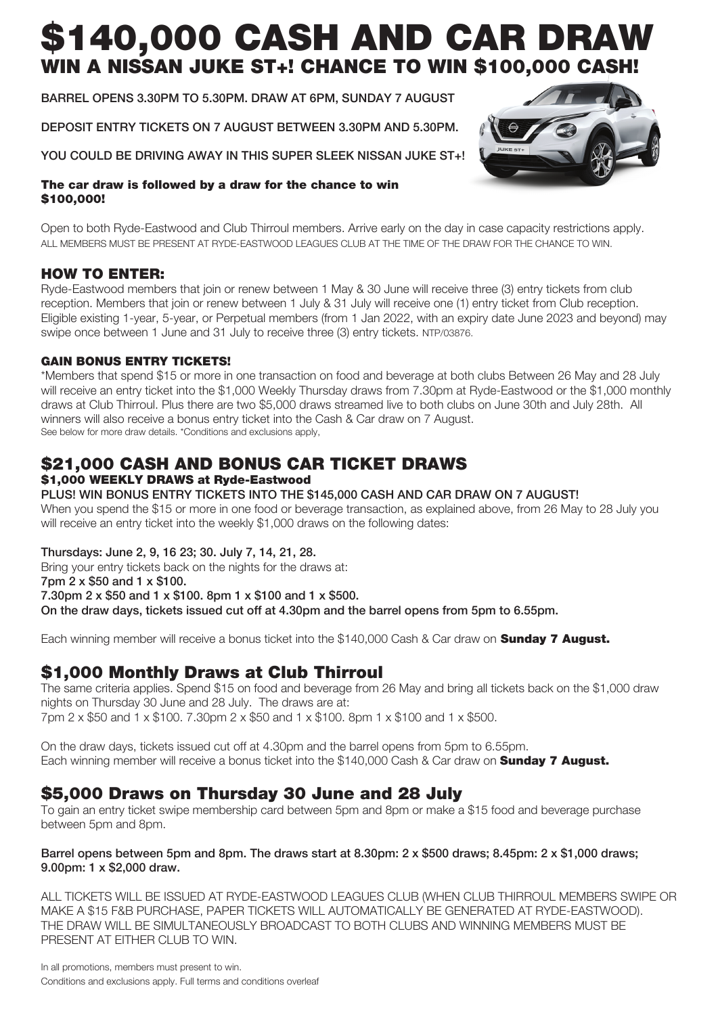# \$140,000 CASH AND CAR DRAW N A NISSAN JUKE ST+! CHANCE TO WIN \$100,000 CASH!

BARREL OPENS 3.30PM TO 5.30PM. DRAW AT 6PM, SUNDAY 7 AUGUST

DEPOSIT ENTRY TICKETS ON 7 AUGUST BETWEEN 3.30PM AND 5.30PM.

YOU COULD BE DRIVING AWAY IN THIS SUPER SLEEK NISSAN JUKE ST+!

#### The car draw is followed by a draw for the chance to win \$100,000!

Open to both Ryde-Eastwood and Club Thirroul members. Arrive early on the day in case capacity restrictions apply. ALL MEMBERS MUST BE PRESENT AT RYDE-EASTWOOD LEAGUES CLUB AT THE TIME OF THE DRAW FOR THE CHANCE TO WIN.

## HOW TO ENTER:

Ryde-Eastwood members that join or renew between 1 May & 30 June will receive three (3) entry tickets from club reception. Members that join or renew between 1 July & 31 July will receive one (1) entry ticket from Club reception. Eligible existing 1-year, 5-year, or Perpetual members (from 1 Jan 2022, with an expiry date June 2023 and beyond) may swipe once between 1 June and 31 July to receive three (3) entry tickets. NTP/03876.

## GAIN BONUS ENTRY TICKETS!

\*Members that spend \$15 or more in one transaction on food and beverage at both clubs Between 26 May and 28 July will receive an entry ticket into the \$1,000 Weekly Thursday draws from 7.30pm at Ryde-Eastwood or the \$1,000 monthly draws at Club Thirroul. Plus there are two \$5,000 draws streamed live to both clubs on June 30th and July 28th. All winners will also receive a bonus entry ticket into the Cash & Car draw on 7 August. See below for more draw details. \*Conditions and exclusions apply,

## \$21,000 CASH AND BONUS CAR TICKET DRAWS \$1,000 WEEKLY DRAWS at Ryde-Eastwood

#### PLUS! WIN BONUS ENTRY TICKETS INTO THE \$145,000 CASH AND CAR DRAW ON 7 AUGUST!

When you spend the \$15 or more in one food or beverage transaction, as explained above, from 26 May to 28 July you will receive an entry ticket into the weekly \$1,000 draws on the following dates:

Thursdays: June 2, 9, 16 23; 30. July 7, 14, 21, 28.

Bring your entry tickets back on the nights for the draws at: 7pm 2 x \$50 and 1 x \$100. 7.30pm 2 x \$50 and 1 x \$100. 8pm 1 x \$100 and 1 x \$500. On the draw days, tickets issued cut off at 4.30pm and the barrel opens from 5pm to 6.55pm.

Each winning member will receive a bonus ticket into the \$140,000 Cash & Car draw on **Sunday 7 August.** 

## \$1,000 Monthly Draws at Club Thirroul

The same criteria applies. Spend \$15 on food and beverage from 26 May and bring all tickets back on the \$1,000 draw nights on Thursday 30 June and 28 July. The draws are at: 7pm 2 x \$50 and 1 x \$100. 7.30pm 2 x \$50 and 1 x \$100. 8pm 1 x \$100 and 1 x \$500.

On the draw days, tickets issued cut off at 4.30pm and the barrel opens from 5pm to 6.55pm. Each winning member will receive a bonus ticket into the \$140,000 Cash & Car draw on **Sunday 7 August.** 

## \$5,000 Draws on Thursday 30 June and 28 July

To gain an entry ticket swipe membership card between 5pm and 8pm or make a \$15 food and beverage purchase between 5pm and 8pm.

#### Barrel opens between 5pm and 8pm. The draws start at 8.30pm: 2 x \$500 draws; 8.45pm: 2 x \$1,000 draws; 9.00pm: 1 x \$2,000 draw.

ALL TICKETS WILL BE ISSUED AT RYDE-EASTWOOD LEAGUES CLUB (WHEN CLUB THIRROUL MEMBERS SWIPE OR MAKE A \$15 F&B PURCHASE, PAPER TICKETS WILL AUTOMATICALLY BE GENERATED AT RYDE-EASTWOOD). THE DRAW WILL BE SIMULTANEOUSLY BROADCAST TO BOTH CLUBS AND WINNING MEMBERS MUST BE PRESENT AT EITHER CLUB TO WIN.